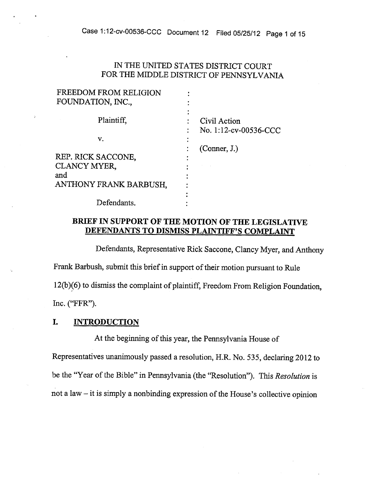# IN THE UNITED STATES DISTRICT COURT FOR THE MIDDLE DISTRICT OF PENNSYLVANIA

| FREEDOM FROM RELIGION  |                                       |
|------------------------|---------------------------------------|
| FOUNDATION, INC.,      |                                       |
| Plaintiff,             | Civil Action<br>No. 1:12-cv-00536-CCC |
| v.                     |                                       |
| REP. RICK SACCONE,     | (Connect, J.)                         |
| CLANCY MYER,<br>and    |                                       |
| ANTHONY FRANK BARBUSH, |                                       |
| Defendants.            |                                       |

# BRIEF IN SUPPORT OF THE MOTION OF THE LEGISLATIVE DEFENDANTS TO DISMISS PLAINTIFF'S COMPLAINT

Defendants, Representative Rick Saccone, Clancy Myer, and Anthony Frank Barbush, submit this brief in support of their motion pursuant to Rule 12(b)(6) to dismiss the complaint of <sup>p</sup>laintiff; Freedom From Religion Foundation, Inc. ("FFR").

#### I. INTRODUCTION

At the beginning of this year, the Pennsylvania House of

Representatives unanimously passed <sup>a</sup> resolution, H.R. No. 535, declaring <sup>2012</sup> to be the "Year of the Bible" in Pennsylvania (the "Resolution"). This Resolution is not a law  $-$  it is simply a nonbinding expression of the House's collective opinion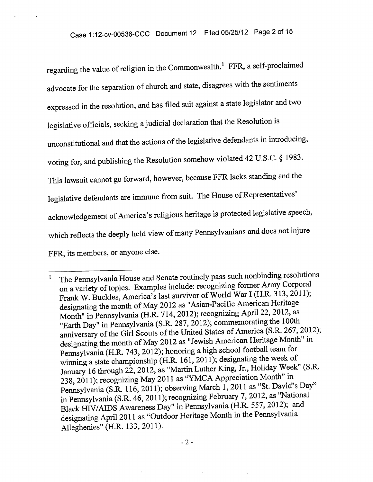regarding the value of religion in the Commonwealth.<sup>1</sup> FFR, a self-proclaimed advocate for the separation of church and state, disagrees with the sentiments expresse<sup>d</sup> in the resolution, and has filed suit against <sup>a</sup> state legislator and two legislative officials, seeking <sup>a</sup> judicial declaration that the Resolution is unconstitutional and that the actions of the legislative defendants in introducing, voting for, and publishing the Resolution somehow violated <sup>42</sup> U.S.C. § 1983. This lawsuit cannot go forward, however, because FFR lacks standing and the legislative defendants are immune from suit. The House of Representatives' acknowledgement of America's religious heritage is protected legislative speech, which reflects the deeply held view of many Pennsylvanians and does not injure FFR, its members, or anyone else.

The Pennsylvania House and Senate routinely pass such nonbinding resolutions  $\mathbf{I}$ on a variety of topics. Examples include: recognizing former Army Corporal Frank W. Buckles, America's last survivor of World War <sup>I</sup> (H.R. 313, 2011); designating the month of May <sup>2012</sup> as "Asian-Pacific American Heritage Month" in Pennsylvania (H.R. 714, 2012); recognizing April 22, 2012, as "Earth Day" in Pennsylvania (S.R. 287, 2012); commemorating the 100th anniversary of the Girl Scouts of the United States of America (S.R. 267, 2012); designating the month of May <sup>2012</sup> as "Jewish American Heritage Month" in Pennsylvania (H.R. 743, 2012); honoring <sup>a</sup> high school football team for winning <sup>a</sup> state championship (H.R. 161, 2011); designating the week of January <sup>16</sup> through 22, 2012, as "Martin Luther King, Jr., Holiday Week" (S.R. 238, 2011); recognizing May <sup>2011</sup> as "YMCA Appreciation Month" in Pennsylvania (S.R. 116, 2011); observing March 1, <sup>2011</sup> as "St. David's Day" in Pennsylvania (S.R. 46, 2011); recognizing February 7, 2012, as "National Black HIV/AIDS Awareness Day" in Pennsylvania (H.R. 557, 2012); and designating April <sup>2011</sup> as "Outdoor Heritage Month in the Pennsylvania Alleghenies" (H.R. 133, 2011).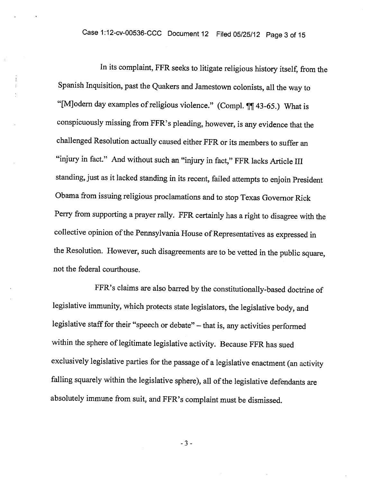In its complaint, FFR seeks to litigate religious history itself, from the Spanish Inquisition, past the Quakers and Jamestown colonists, all the way to "[M]odern day examples of religious violence." (Compl. ¶¶ 43-65.) What is conspicuously missing from FFR's <sup>p</sup>leading, however, is any evidence that the challenged Resolution actually caused either FFR or its members to suffer an "injury in fact." And without such an "injury in fact," FFR lacks Article III standing, just as it lacked standing in its recent, failed attempts to enjoin President Obama from issuing religious proclamations and to stop Texas Governor Rick Perry from supporting <sup>a</sup> prayer rally. FFR certainly has <sup>a</sup> right to disagree with the collective opinion of the Pennsylvania House of Representatives as expressed in the Resolution. However, such disagreements are to be vetted in the public square, not the federal courthouse.

FFR's claims are also barred by the constitutionally-based doctrine of legislative immunity, which protects state legislators, the legislative body, and legislative staff for their "speech or debate" - that is, any activities performed within the sphere of legitimate legislative activity. Because FFR has sued exclusively legislative parties for the passage of <sup>a</sup> legislative enactment (an activity falling squarely within the legislative sphere), all of the legislative defendants are absolutely immune from suit, and FFR's complaint must be dismissed.

-3-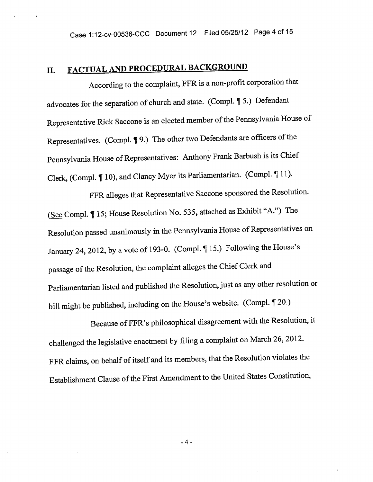# II. FACTUAL AND PROCEDURAL BACKGROUND

According to the complaint, FFR is <sup>a</sup> non-profit corporation that advocates for the separation of church and state. (Compi. ¶ 5.) Defendant Representative Rick Saccone is an elected member of the Pennsylvania House of Representatives. (Compl. ¶ 9.) The other two Defendants are officers of the Pennsylvania House of Representatives: Anthony Frank Barbush is its Chief Clerk, (Compl. ¶ 10), and Clancy Myer its Parliamentarian. (Compi. ¶ 11).

FFR alleges that Representative Saccone sponsore<sup>d</sup> the Resolution. (See Compl. ¶ 15; House Resolution No. 535, attached as Exhibit "A.") The Resolution passed unanimously in the Pennsylvania House of Representatives on January 24, 2012, by a vote of 193-0. (Compl. ¶ 15.) Following the House's passage of the Resolution, the complaint alleges the Chief Clerk and Parliamentarian listed and published the Resolution, just as any other resolution or bill might be published, including on the House's website. (Compi. ¶ 20.)

Because of FFR's <sup>p</sup>hilosophical disagreement with the Resolution, it challenged the legislative enactment by filing <sup>a</sup> complaint on March 26, 2012. FFR claims, on behalf of itself and its members, that the Resolution violates the Establishment Clause of the First Amendment to the United States Constitution,

-4-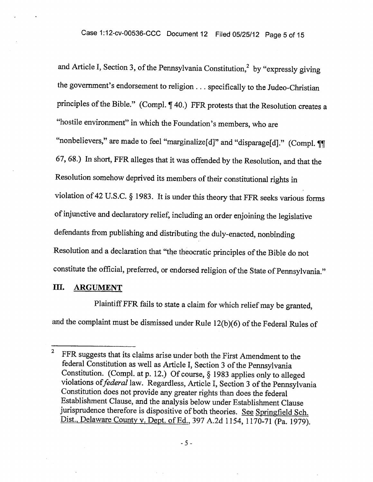and Article I, Section 3, of the Pennsylvania Constitution,<sup>2</sup> by "expressly giving the government's endorsement to religion. . . specifically to the Judeo-Christian principles of the Bible." (Compl. ¶ 40.) FFR protests that the Resolution creates a "hostile environment" in which the Foundation's members, who are "nonbelievers," are made to feel "marginalize[d]" and "disparage[d]." (Compl. ¶ 67, 68.) In short, FFR alleges that it was offended by the Resolution, and that the Resolution somehow deprived its members of their constitutional rights in violation of <sup>42</sup> U.S.C. § 1983. It is under this theory that FFR seeks various forms ofinjunctive and declaratory relief, including an order enjoining the legislative defendants from publishing and distributing the duly-enacted, nonbinding Resolution and a declaration that "the theocratic principles of the Bible do not constitute the official, preferred, or endorsed religion of the State of Pennsylvania."

### III. ARGUMENT

Plaintiff FFR fails to state <sup>a</sup> claim for which relief may be granted, and the complaint must be dismissed under Rule 12(b)(6) of the Federal Rules of

<sup>&</sup>lt;sup>2</sup> FFR suggests that its claims arise under both the First Amendment to the federal Constitution as well as Article I, Section 3 of the Pennsylvania Constitution. (Compi. at p. 12.) Of course, § <sup>1983</sup> applies only to alleged violations of federal law. Regardless, Article I, Section 3 of the Pennsylvania Constitution does not provide any greater rights than does the federal Establishment Clause, and the analysis below under Establishment Clause jurisprudence therefore is dispositive of both theories. See Springfield Sch. Dist., Delaware County v. Dept. of Ed., <sup>397</sup> A.2d 1154, 1170-71 (Pa. 1979).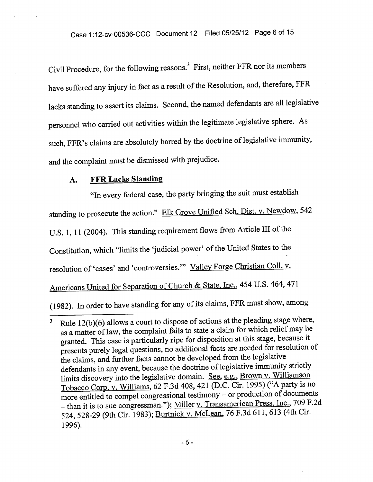Civil Procedure, for the following reasons.<sup>3</sup> First, neither FFR nor its members have suffered any injury in fact as a result of the Resolution, and, therefore, FFR lacks standing to assert its claims. Second, the named defendants are all legislative personne<sup>l</sup> who carried out activities within the legitimate legislative sphere. As such, FFR's claims are absolutely barred by the doctrine of legislative immunity, and the complaint must be dismissed with prejudice.

#### A. FFR Lacks Standing

"In every federal case, the party bringing the suit must establish standing to prosecute the action." Elk Grove Unified Sch. Dist. v. Newdow, <sup>542</sup> U.S. 1, 11 (2004). This standing requirement flows from Article III of the Constitution, which "limits the 'judicial power' of the United States to the resolution of 'cases' and 'controversies." Valley Forge Christian Coll. v. Americans United for Separation of Church & State, Inc., <sup>454</sup> U.S. 464, <sup>471</sup> (1982). In order to have standing for any of its claims, FFR must show, among

Rule 12(b)(6) allows <sup>a</sup> court to dispose of actions at the <sup>p</sup>leading stage where,  $\mathbf{3}$ as a matter of law, the complaint fails to state a claim for which relief may be granted. This case is particularly ripe for disposition at this stage, because it presents purely legal questions, no additional facts are needed for resolution of the claims, and further facts cannot be developed from the legislative defendants in any event, because the doctrine of legislative immunity strictly limits discovery into the legislative domain. See, e.g., Brown v. Williamson Tobacco Corp. v. Williams, <sup>62</sup> F.3d 408, <sup>421</sup> (D.C. Cir. 1995) ("A party is no more entitled to compe<sup>l</sup> congressional testimony — or production of documents — than it is to sue congressman."); Miller v. Transamerican Press, Inc., <sup>709</sup> F.2d 524, 528-29 (9th Cir. 1983); Burtnick v. McLean, <sup>76</sup> F.3d 611, <sup>613</sup> (4th Cir. 1996).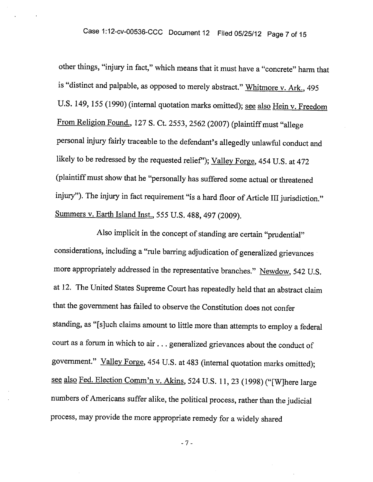other things, "injury in fact," which means that it must have <sup>a</sup> "concrete" harm that is "distinct and palpable, as opposed to merely abstract." Whitmore v. Ark., 495 U.S. 149, 155 (1990) (internal quotation marks omitted); see also Hein v. Freedom From Religion Found., 127 S. Ct. 2553, 2562 (2007) (plaintiff must "allege personal injury fairly traceable to the defendant's allegedly unlawful conduct and likely to be redressed by the requested relief"); Valley Forge, 454 U.S. at 472 (plaintiffmust show that he "personally has suffered some actual or threatened injury"). The injury in fact requirement "is a hard floor of Article III jurisdiction." Summers v. Earth Island Inst., <sup>555</sup> U.S. 488, <sup>497</sup> (2009).

Also implicit in the concept of standing are certain "prudential" considerations, including <sup>a</sup> "rule barring adjudication of generalized grievances more appropriately addressed in the representative branches." Newdow, 542 U.S. at 12. The United States Supreme Court has repeatedly held that an abstract claim that the government has failed to observe the Constitution does not confer standing, as "[sjuch claims amount to little more than attempts to employ <sup>a</sup> federal court as <sup>a</sup> forum in which to air.. . generalized grievances about the conduct of government." Valley Forge, <sup>454</sup> U.S. at <sup>483</sup> (internal quotation marks omitted); see also Fed. Election Comm'n v. Akins, <sup>524</sup> U.S. 11, <sup>23</sup> (1998) ("[W]here large numbers of Americans suffer alike, the political process, rather than the judicial process, may provide the more appropriate remedy for <sup>a</sup> widely shared

-7-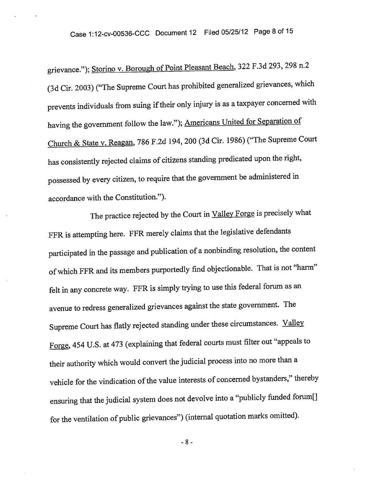grievance."); Storino v. Borough of Point Pleasant Beach, <sup>322</sup> F.3d 293, <sup>298</sup> n.2 (3d Cir. 2003) ("The Supreme Court has prohibited generalized grievances, which prevents individuals from suing if their only injury is as a taxpayer concerned with having the government follow the law."); Americans United for Separation of Church & State v. Reagan, <sup>786</sup> F.2d 194, <sup>200</sup> (3d Cir. 1986) ("The Supreme Court has consistently rejected claims of citizens standing predicated upon the right, possesse<sup>d</sup> by every citizen, to require that the governmen<sup>t</sup> be administered in accordance with the Constitution.").

The practice rejected by the Court in Valley Forge is precisely what FFR is attempting here. FFR merely claims that the legislative defendants participated in the passage and publication of <sup>a</sup> nonbinding resolution, the content of which FFR and its members purportedly find objectionable. That is not "harm" felt in any concrete way. FFR is simply trying to use this federal forum as an avenue to redress generalized grievances against the state government. The Supreme Court has flatly rejected standing under these circumstances. Valley Forge, <sup>454</sup> U.S. at <sup>473</sup> (explaining that federal courts must filter out "appeals to their authority which would convert the judicial process into no more than <sup>a</sup> vehicle for the vindication of the value interests of concerned bystanders," thereby ensuring that the judicial system does not devolve into <sup>a</sup> "publicly funded forum[j for the ventilation of public grievances") (internal quotation marks omitted).

-8-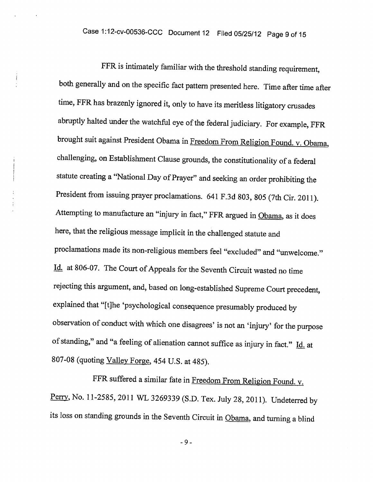$\mathbf{i}$ 

FFR is intimately familiar with the threshold standing requirement, both generally and on the specific fact pattern presented here. Time after time after time, FFR has brazenly ignored it, only to have its meritless litigatory crusades abruptly halted under the watchful eye of the federal judiciary. For example, FFR brought suit against President Obama in Freedom From Religion Found. v. Obama, challenging, on Establishment Clause grounds, the constitutionality of <sup>a</sup> federal statute creating <sup>a</sup> "National Day of Prayer" and seeking an order prohibiting the President from issuing prayer proclamations. <sup>641</sup> F.3d 803, <sup>805</sup> (7th Cir. 2011). Attempting to manufacture an "injury in fact," FFR argued in Obama, as it does here, that the religious message implicit in the challenged statute and proclamations made its non-religious members feel "excluded" and "unwelcome." 1d. at 806-07. The Court of Appeals for the Seventh Circuit wasted no time rejecting this argument, and, based on long-established Supreme Court precedent, explained that "[tjhe 'psychological consequence presumably produced by observation of conduct with which one disagrees' is not an 'injury' for the purpose of standing," and "a feeling of alienation cannot suffice as injury in fact." Id. at 807-0<sup>8</sup> (quoting Valley Forge, <sup>454</sup> U.S. at 485).

FFR suffered <sup>a</sup> similar fate in Freedom From Religion Found. v. Perry, No. 11-2585, 2011 WL 3269339 (S.D. Tex. July 28, 2011). Undeterred by its loss on standing grounds in the Seventh Circuit in Obama, and turning a blind

-9-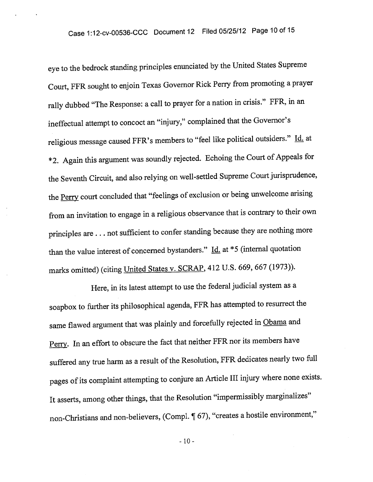eye to the bedrock standing principles enunciated by the United States Supreme Court, FFR sought to enjoin Texas Governor Rick Perry from promoting <sup>a</sup> prayer rally dubbed "The Response: <sup>a</sup> call to prayer for <sup>a</sup> nation in crisis." FFR, in an ineffectual attempt to concoct an "injury," complained that the Governor's religious message caused FFR's members to "feel like political outsiders." Id. at \*2. Again this argument was soundly rejected. Echoing the Court of Appeals for the Seventh Circuit, and also relying on well-settled Supreme Court jurisprudence, the Perry court concluded that "feelings of exclusion or being unwelcome arising from an invitation to engage in <sup>a</sup> religious observance that is contrary to their own principles are. . . not sufficient to confer standing because they are nothing more than the value interest of concerned bystanders."  $\underline{Id}$  at \*5 (internal quotation marks omitted) (citing United States v. SCRAP, <sup>412</sup> U.S. 669, <sup>667</sup> (1973)).

Here, in its latest attempt to use the federal judicial system as <sup>a</sup> soapbox to further its <sup>p</sup>hilosophical agenda, FFR has attempted to resurrect the same flawed argument that was plainly and forcefully rejected in Obama and Perry. In an effort to obscure the fact that neither FFR nor its members have suffered any true harm as a result of the Resolution, FFR dedicates nearly two full pages of its complaint attempting to conjure an Article III injury where none exists. It asserts, among other things, that the Resolution "impermissibly marginalizes" non-Christians and non-believers, (Compi. ¶ 67), "creates <sup>a</sup> hostile environment,"

- 10-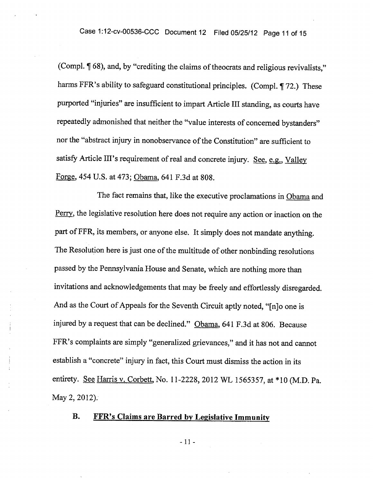(Compl.  $\P$  68), and, by "crediting the claims of theocrats and religious revivalists," harms FFR's ability to safeguard constitutional principles. (Compl. 172.) These purported "injuries" are insufficient to impart Article Ill standing, as courts have repeatedly admonished that neither the "value interests of concerned bystanders" nor the "abstract injury in nonobservance of the Constitution" are sufficient to satisfy Article III's requirement of real and concrete injury. See, e.g., Valley Forge, 454 U.S. at 473; Obama, 641 F.3d at 808.

The fact remains that, like the executive proclamations in Obama and Perry, the legislative resolution here does not require any action or inaction on the part of FFR, its members, or anyone else. It simply does not mandate anything. The Resolution here is just one of the multitude of other nonbinding resolutions passed by the Pennsylvania House and Senate, which are nothing more than invitations and acknowledgements that may be freely and effortlessly disregarded. And as the Court of Appeals for the Seventh Circuit aptly noted, "[n]o one is injured by <sup>a</sup> request that can be declined." Obama, 641 F.3d at 806. Because FFR's complaints are simply "generalized grievances," and it has not and cannot establish <sup>a</sup> "concrete" injury in fact, this Court must dismiss the action in its entirety. See Harris v. Corbett, No. 11-2228, 2012 WL 1565357, at \*10 (M.D. Pa. May 2, 2012).

# B. FFR's Claims are Barred by Legislative Immunity

-11-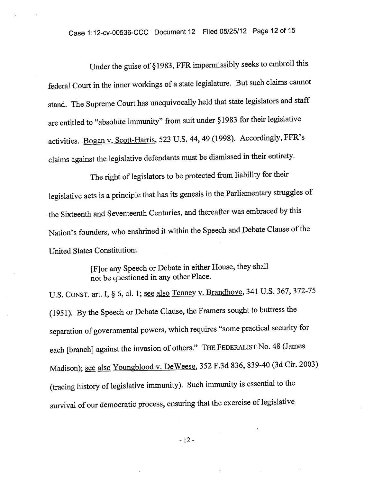Under the guise of § 1983, FFR impermissibly seeks to embroil this federal Court in the inner workings of <sup>a</sup> state legislature. But such claims cannot stand. The Supreme Court has unequivocally held that state legislators and staff are entitled to "absolute immunity" from suit under §1983 for their legislative activities. Bogan v. Scott-Harris, <sup>523</sup> U.S. 44, <sup>49</sup> (1998). Accordingly, FFR's claims against the legislative defendants must be dismissed in their entirety.

The right of legislators to be protected from liability for their legislative acts is <sup>a</sup> principle that has its genesis in the Parliamentary struggles of the Sixteenth and Seventeenth Centuries, and thereafter was embraced by this Nation's founders, who enshrined it within the Speech and Debate Clause of the United States Constitution:

> [F]or any Speech or Debate in either House, they shall not be questioned in any other Place.

U.S. CONST. art. I, § 6, cl. 1; see also Tenney v. Brandhove, 341 U.S. 367, 372-75 (1951). By the Speech or Debate Clause, the Framers sought to buttress the separation of governmental powers, which requires "some practical security for each [branch] against the invasion of others." THE FEDERALIST No. 48 (James Madison); see also Youngblood v. DeWeese, 352 F.3d 836, 839-40 (3d Cir. 2003) (tracing history of legislative immunity). Such immunity is essential to the survival of our democratic process, ensuring that the exercise of legislative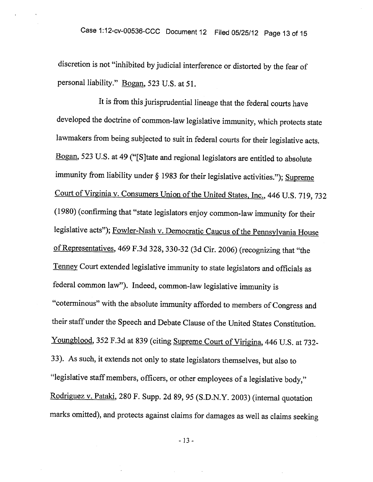discretion is not "inhibited by judicial interference or distorted by the fear of personal liability." Bogan, 523 U.S. at 51.

It is from this jurisprudential lineage that the federal courts have developed the doctrine of common-law legislative immunity, which protects state lawmakers from being subjected to suit in federal courts for their legislative acts. Bogan, <sup>523</sup> U.S. at <sup>49</sup> ("[SJtate and regional legislators are entitled to absolute immunity from liability under § <sup>1983</sup> for their legislative activities."); Supreme Court of Virginia v. Consumers Union of the United States, Inc., 446 U.S. 719, 732 (1980) (confirming that "state legislators enjoy common-law immunity for their legislative acts"); Fowler-Nash v. Democratic Caucus of the Pennsylvania House ofRepresentatives, <sup>469</sup> F.3d 328, 330-32 (3d Cir. 2006) (recognizing that "the Tenney Court extended legislative immunity to state legislators and officials as federal common law"). Indeed, common-law legislative immunity is "coterminous" with the absolute immunity afforded to members of Congress and their staff under the Speech and Debate Clause of the United States Constitution. Youngblood, <sup>352</sup> F.3d at <sup>839</sup> (citing Supreme Court of Virigina, <sup>446</sup> U.S. at 732- 33). As such, it extends not only to state legislators themselves, but also to "legislative staff members, officers, or other employees of a legislative body," Rodriguez v. Pataki, <sup>280</sup> F. Supp. 2d 89, <sup>95</sup> (S.D.N.Y. 2003) (internal quotation marks omitted), and protects against claims for damages as well as claims seeking

- 13-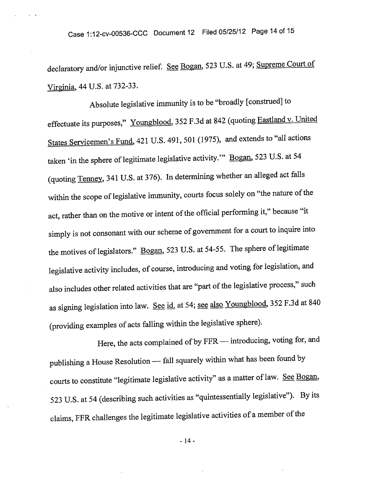declaratory and/or injunctive relief. See Bogan, 523 U.S. at 49; Supreme Court of Virginia, <sup>44</sup> U.S. at 732-33.

Absolute legislative immunity is to be "broadly [construed] to effectuate its purposes," Youngblood, 352 F.3d at 842 (quoting Eastland v. United States Servicemen's Fund, <sup>421</sup> U.S. 491, 501(1975), and extends to "all actions taken 'in the sphere of legitimate legislative activity." Bogan, 523 U.S. at 54 (quoting Tenney, <sup>341</sup> U.S. at 376). In determining whether an alleged act falls within the scope of legislative immunity, courts focus solely on "the nature of the act, rather than on the motive or intent of the official performing it," because "it simply is not consonant with our scheme of governmen<sup>t</sup> for <sup>a</sup> court to inquire into the motives of legislators." Bogan, 523 U.S. at 54-55. The sphere of legitimate legislative activity includes, of course, introducing and voting for legislation, and also includes other related activities that are "part of the legislative process," such as signing legislation into law. See id. at 54; see also Youngblood, 352 F.3d at 840 (providing examples of acts falling within the legislative sphere).

Here, the acts complained of by FFR — introducing, voting for, and publishing <sup>a</sup> House Resolution — fall squarely within what has been found by courts to constitute "legitimate legislative activity" as a matter of law. See Bogan, <sup>523</sup> U.S. at <sup>54</sup> (describing such activities as "quintessentially legislative"). By its claims, FFR challenges the legitimate legislative activities of a member of the

- 14 -